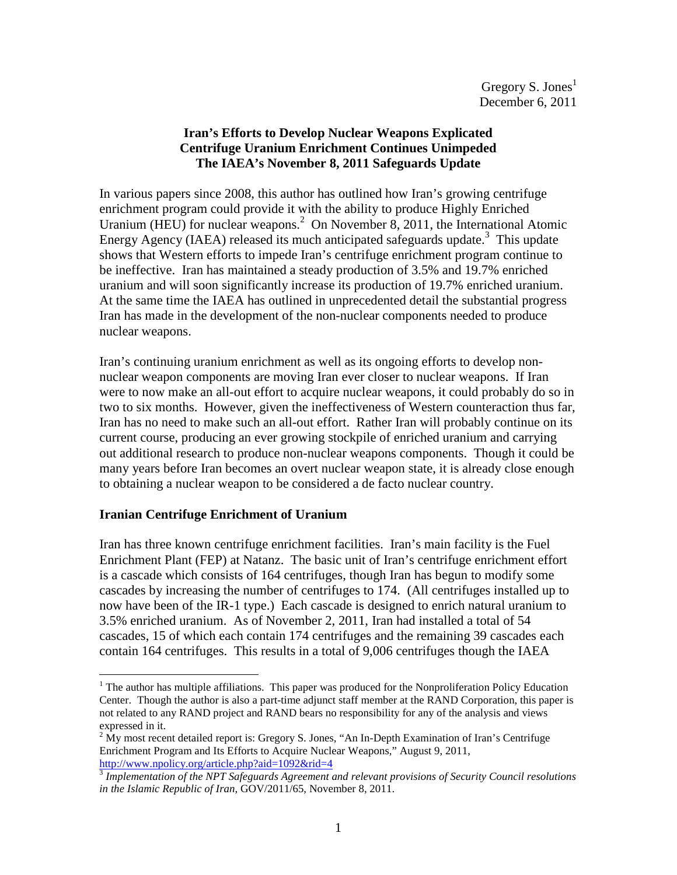# **Iran's Efforts to Develop Nuclear Weapons Explicated Centrifuge Uranium Enrichment Continues Unimpeded The IAEA's November 8, 2011 Safeguards Update**

In various papers since 2008, this author has outlined how Iran's growing centrifuge enrichment program could provide it with the ability to produce Highly Enriched Uranium (HEU) for nuclear weapons.<sup>2</sup> On November 8, 2011, the International Atomic Energy Agency (IAEA) released its much anticipated safeguards update.<sup>3</sup> This update shows that Western efforts to impede Iran's centrifuge enrichment program continue to be ineffective. Iran has maintained a steady production of 3.5% and 19.7% enriched uranium and will soon significantly increase its production of 19.7% enriched uranium. At the same time the IAEA has outlined in unprecedented detail the substantial progress Iran has made in the development of the non-nuclear components needed to produce nuclear weapons.

Iran's continuing uranium enrichment as well as its ongoing efforts to develop nonnuclear weapon components are moving Iran ever closer to nuclear weapons. If Iran were to now make an all-out effort to acquire nuclear weapons, it could probably do so in two to six months. However, given the ineffectiveness of Western counteraction thus far, Iran has no need to make such an all-out effort. Rather Iran will probably continue on its current course, producing an ever growing stockpile of enriched uranium and carrying out additional research to produce non-nuclear weapons components. Though it could be many years before Iran becomes an overt nuclear weapon state, it is already close enough to obtaining a nuclear weapon to be considered a de facto nuclear country.

# **Iranian Centrifuge Enrichment of Uranium**

 $\overline{a}$ 

Iran has three known centrifuge enrichment facilities. Iran's main facility is the Fuel Enrichment Plant (FEP) at Natanz. The basic unit of Iran's centrifuge enrichment effort is a cascade which consists of 164 centrifuges, though Iran has begun to modify some cascades by increasing the number of centrifuges to 174. (All centrifuges installed up to now have been of the IR-1 type.) Each cascade is designed to enrich natural uranium to 3.5% enriched uranium. As of November 2, 2011, Iran had installed a total of 54 cascades, 15 of which each contain 174 centrifuges and the remaining 39 cascades each contain 164 centrifuges. This results in a total of 9,006 centrifuges though the IAEA

<sup>&</sup>lt;sup>1</sup> The author has multiple affiliations. This paper was produced for the Nonproliferation Policy Education Center. Though the author is also a part-time adjunct staff member at the RAND Corporation, this paper is not related to any RAND project and RAND bears no responsibility for any of the analysis and views expressed in it.

 $2 \text{ My most recent detailed report is: Gregory S. Jones, "An In-Depth Examination of Iran's Centrifuge" }$ Enrichment Program and Its Efforts to Acquire Nuclear Weapons," August 9, 2011, http://www.npolicy.org/article.php?aid=1092&rid=4

<sup>3</sup> *Implementation of the NPT Safeguards Agreement and relevant provisions of Security Council resolutions in the Islamic Republic of Iran*, GOV/2011/65, November 8, 2011.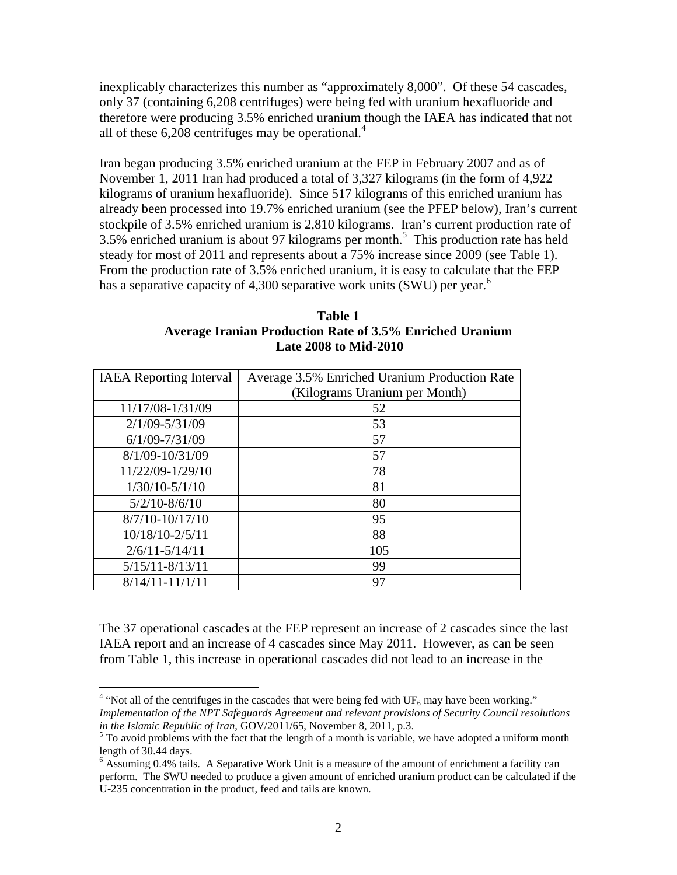inexplicably characterizes this number as "approximately 8,000". Of these 54 cascades, only 37 (containing 6,208 centrifuges) were being fed with uranium hexafluoride and therefore were producing 3.5% enriched uranium though the IAEA has indicated that not all of these  $6,208$  centrifuges may be operational.<sup>4</sup>

Iran began producing 3.5% enriched uranium at the FEP in February 2007 and as of November 1, 2011 Iran had produced a total of 3,327 kilograms (in the form of 4,922 kilograms of uranium hexafluoride). Since 517 kilograms of this enriched uranium has already been processed into 19.7% enriched uranium (see the PFEP below), Iran's current stockpile of 3.5% enriched uranium is 2,810 kilograms. Iran's current production rate of  $3.5\%$  enriched uranium is about 97 kilograms per month.<sup>5</sup> This production rate has held steady for most of 2011 and represents about a 75% increase since 2009 (see Table 1). From the production rate of 3.5% enriched uranium, it is easy to calculate that the FEP has a separative capacity of 4,300 separative work units (SWU) per year.<sup>6</sup>

| Table 1                                                         |  |  |  |
|-----------------------------------------------------------------|--|--|--|
| <b>Average Iranian Production Rate of 3.5% Enriched Uranium</b> |  |  |  |
| <b>Late 2008 to Mid-2010</b>                                    |  |  |  |

| <b>IAEA</b> Reporting Interval | Average 3.5% Enriched Uranium Production Rate |  |  |
|--------------------------------|-----------------------------------------------|--|--|
|                                | (Kilograms Uranium per Month)                 |  |  |
| 11/17/08-1/31/09               | 52                                            |  |  |
| $2/1/09 - 5/31/09$             | 53                                            |  |  |
| $6/1/09 - 7/31/09$             | 57                                            |  |  |
| 8/1/09-10/31/09                | 57                                            |  |  |
| 11/22/09-1/29/10               | 78                                            |  |  |
| $1/30/10 - 5/1/10$             | 81                                            |  |  |
| $5/2/10 - 8/6/10$              | 80                                            |  |  |
| $8/7/10 - 10/17/10$            | 95                                            |  |  |
| 10/18/10-2/5/11                | 88                                            |  |  |
| $2/6/11 - 5/14/11$             | 105                                           |  |  |
| $5/15/11 - 8/13/11$            | 99                                            |  |  |
| $8/14/11 - 11/1/11$            | 97                                            |  |  |

The 37 operational cascades at the FEP represent an increase of 2 cascades since the last IAEA report and an increase of 4 cascades since May 2011. However, as can be seen from Table 1, this increase in operational cascades did not lead to an increase in the

 $\frac{4}{4}$  "Not all of the centrifuges in the cascades that were being fed with UF<sub>6</sub> may have been working." *Implementation of the NPT Safeguards Agreement and relevant provisions of Security Council resolutions in the Islamic Republic of Iran*, GOV/2011/65, November 8, 2011, p.3.

 $<sup>5</sup>$  To avoid problems with the fact that the length of a month is variable, we have adopted a uniform month</sup> length of 30.44 days.

<sup>&</sup>lt;sup>6</sup> Assuming 0.4% tails. A Separative Work Unit is a measure of the amount of enrichment a facility can perform. The SWU needed to produce a given amount of enriched uranium product can be calculated if the U-235 concentration in the product, feed and tails are known.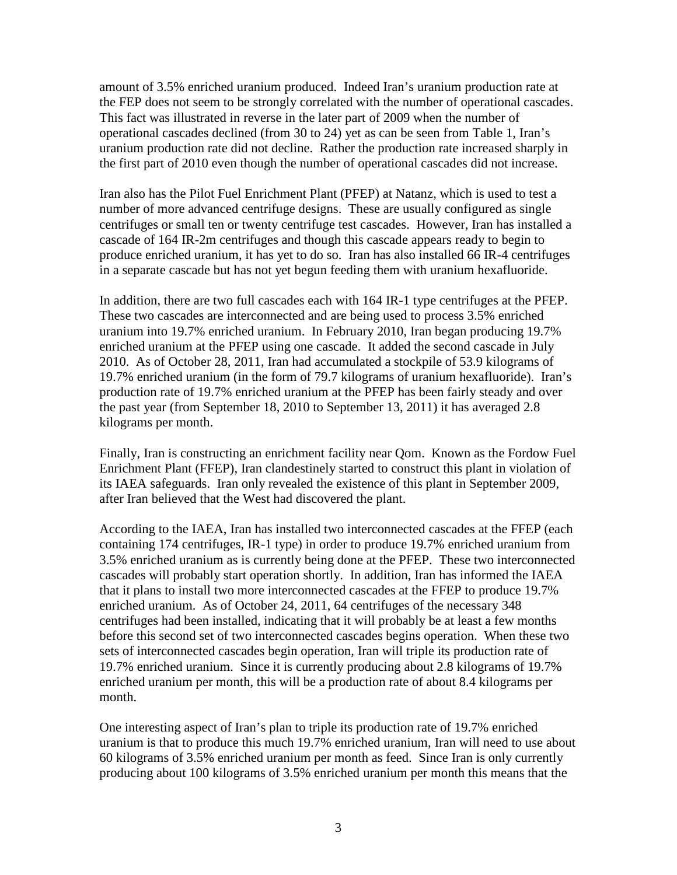amount of 3.5% enriched uranium produced. Indeed Iran's uranium production rate at the FEP does not seem to be strongly correlated with the number of operational cascades. This fact was illustrated in reverse in the later part of 2009 when the number of operational cascades declined (from 30 to 24) yet as can be seen from Table 1, Iran's uranium production rate did not decline. Rather the production rate increased sharply in the first part of 2010 even though the number of operational cascades did not increase.

Iran also has the Pilot Fuel Enrichment Plant (PFEP) at Natanz, which is used to test a number of more advanced centrifuge designs. These are usually configured as single centrifuges or small ten or twenty centrifuge test cascades. However, Iran has installed a cascade of 164 IR-2m centrifuges and though this cascade appears ready to begin to produce enriched uranium, it has yet to do so. Iran has also installed 66 IR-4 centrifuges in a separate cascade but has not yet begun feeding them with uranium hexafluoride.

In addition, there are two full cascades each with 164 IR-1 type centrifuges at the PFEP. These two cascades are interconnected and are being used to process 3.5% enriched uranium into 19.7% enriched uranium. In February 2010, Iran began producing 19.7% enriched uranium at the PFEP using one cascade. It added the second cascade in July 2010. As of October 28, 2011, Iran had accumulated a stockpile of 53.9 kilograms of 19.7% enriched uranium (in the form of 79.7 kilograms of uranium hexafluoride). Iran's production rate of 19.7% enriched uranium at the PFEP has been fairly steady and over the past year (from September 18, 2010 to September 13, 2011) it has averaged 2.8 kilograms per month.

Finally, Iran is constructing an enrichment facility near Qom. Known as the Fordow Fuel Enrichment Plant (FFEP), Iran clandestinely started to construct this plant in violation of its IAEA safeguards. Iran only revealed the existence of this plant in September 2009, after Iran believed that the West had discovered the plant.

According to the IAEA, Iran has installed two interconnected cascades at the FFEP (each containing 174 centrifuges, IR-1 type) in order to produce 19.7% enriched uranium from 3.5% enriched uranium as is currently being done at the PFEP. These two interconnected cascades will probably start operation shortly. In addition, Iran has informed the IAEA that it plans to install two more interconnected cascades at the FFEP to produce 19.7% enriched uranium. As of October 24, 2011, 64 centrifuges of the necessary 348 centrifuges had been installed, indicating that it will probably be at least a few months before this second set of two interconnected cascades begins operation. When these two sets of interconnected cascades begin operation, Iran will triple its production rate of 19.7% enriched uranium. Since it is currently producing about 2.8 kilograms of 19.7% enriched uranium per month, this will be a production rate of about 8.4 kilograms per month.

One interesting aspect of Iran's plan to triple its production rate of 19.7% enriched uranium is that to produce this much 19.7% enriched uranium, Iran will need to use about 60 kilograms of 3.5% enriched uranium per month as feed. Since Iran is only currently producing about 100 kilograms of 3.5% enriched uranium per month this means that the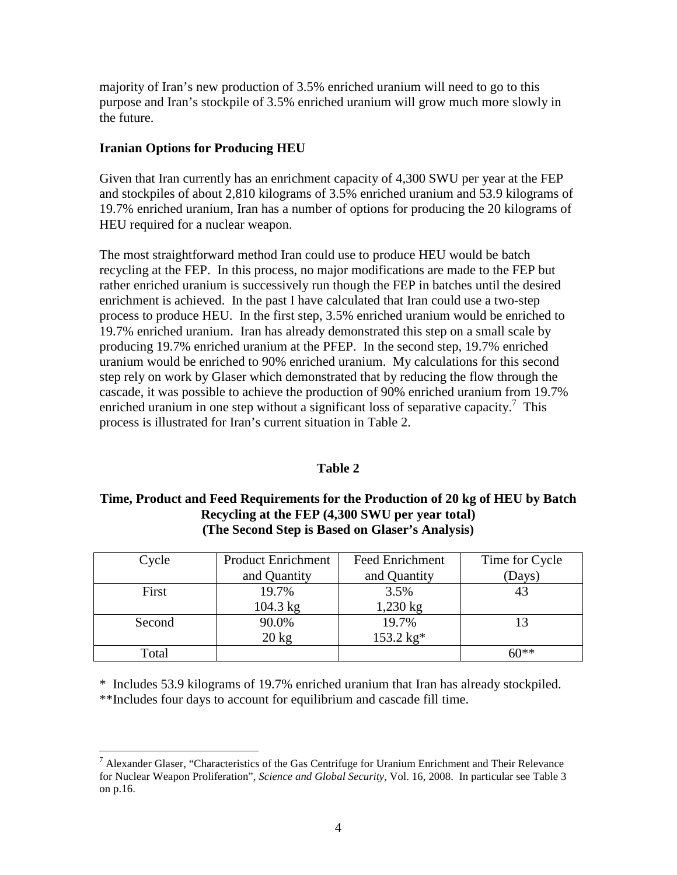majority of Iran's new production of 3.5% enriched uranium will need to go to this purpose and Iran's stockpile of 3.5% enriched uranium will grow much more slowly in the future.

## **Iranian Options for Producing HEU**

Given that Iran currently has an enrichment capacity of 4,300 SWU per year at the FEP and stockpiles of about 2,810 kilograms of 3.5% enriched uranium and 53.9 kilograms of 19.7% enriched uranium, Iran has a number of options for producing the 20 kilograms of HEU required for a nuclear weapon.

The most straightforward method Iran could use to produce HEU would be batch recycling at the FEP. In this process, no major modifications are made to the FEP but rather enriched uranium is successively run though the FEP in batches until the desired enrichment is achieved. In the past I have calculated that Iran could use a two-step process to produce HEU. In the first step, 3.5% enriched uranium would be enriched to 19.7% enriched uranium. Iran has already demonstrated this step on a small scale by producing 19.7% enriched uranium at the PFEP. In the second step, 19.7% enriched uranium would be enriched to 90% enriched uranium. My calculations for this second step rely on work by Glaser which demonstrated that by reducing the flow through the cascade, it was possible to achieve the production of 90% enriched uranium from 19.7% enriched uranium in one step without a significant loss of separative capacity.<sup>7</sup> This process is illustrated for Iran's current situation in Table 2.

## **Table 2**

## **Time, Product and Feed Requirements for the Production of 20 kg of HEU by Batch Recycling at the FEP (4,300 SWU per year total) (The Second Step is Based on Glaser's Analysis)**

| Cycle  | <b>Product Enrichment</b> | <b>Feed Enrichment</b> | Time for Cycle |
|--------|---------------------------|------------------------|----------------|
|        | and Quantity              | and Quantity           | (Days)         |
| First  | 19.7%                     | 3.5%                   | 43             |
|        | $104.3$ kg                | $1,230$ kg             |                |
| Second | 90.0%                     | 19.7%                  |                |
|        | $20 \text{ kg}$           | $153.2 \text{ kg*}$    |                |
| Total  |                           |                        | 60**           |

\* Includes 53.9 kilograms of 19.7% enriched uranium that Iran has already stockpiled. \*\*Includes four days to account for equilibrium and cascade fill time.

TRICT Alexander Glaser, "Characteristics of the Gas Centrifuge for Uranium Enrichment and Their Relevance for Nuclear Weapon Proliferation", *Science and Global Security*, Vol. 16, 2008. In particular see Table 3 on p.16.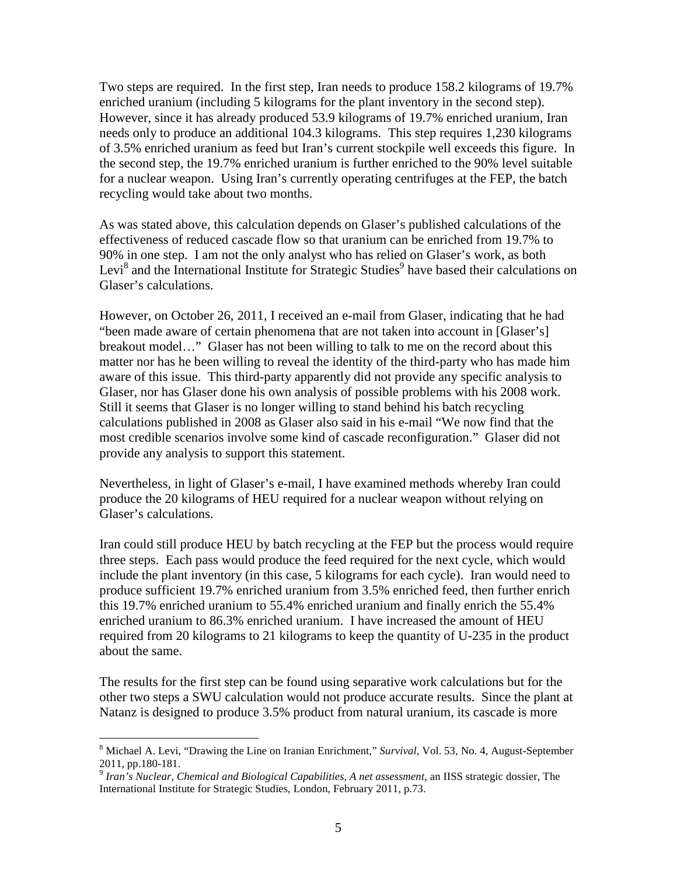Two steps are required. In the first step, Iran needs to produce 158.2 kilograms of 19.7% enriched uranium (including 5 kilograms for the plant inventory in the second step). However, since it has already produced 53.9 kilograms of 19.7% enriched uranium, Iran needs only to produce an additional 104.3 kilograms. This step requires 1,230 kilograms of 3.5% enriched uranium as feed but Iran's current stockpile well exceeds this figure. In the second step, the 19.7% enriched uranium is further enriched to the 90% level suitable for a nuclear weapon. Using Iran's currently operating centrifuges at the FEP, the batch recycling would take about two months.

As was stated above, this calculation depends on Glaser's published calculations of the effectiveness of reduced cascade flow so that uranium can be enriched from 19.7% to 90% in one step. I am not the only analyst who has relied on Glaser's work, as both Levi<sup>8</sup> and the International Institute for Strategic Studies<sup>9</sup> have based their calculations on Glaser's calculations.

However, on October 26, 2011, I received an e-mail from Glaser, indicating that he had "been made aware of certain phenomena that are not taken into account in [Glaser's] breakout model…" Glaser has not been willing to talk to me on the record about this matter nor has he been willing to reveal the identity of the third-party who has made him aware of this issue. This third-party apparently did not provide any specific analysis to Glaser, nor has Glaser done his own analysis of possible problems with his 2008 work. Still it seems that Glaser is no longer willing to stand behind his batch recycling calculations published in 2008 as Glaser also said in his e-mail "We now find that the most credible scenarios involve some kind of cascade reconfiguration." Glaser did not provide any analysis to support this statement.

Nevertheless, in light of Glaser's e-mail, I have examined methods whereby Iran could produce the 20 kilograms of HEU required for a nuclear weapon without relying on Glaser's calculations.

Iran could still produce HEU by batch recycling at the FEP but the process would require three steps. Each pass would produce the feed required for the next cycle, which would include the plant inventory (in this case, 5 kilograms for each cycle). Iran would need to produce sufficient 19.7% enriched uranium from 3.5% enriched feed, then further enrich this 19.7% enriched uranium to 55.4% enriched uranium and finally enrich the 55.4% enriched uranium to 86.3% enriched uranium. I have increased the amount of HEU required from 20 kilograms to 21 kilograms to keep the quantity of U-235 in the product about the same.

The results for the first step can be found using separative work calculations but for the other two steps a SWU calculation would not produce accurate results. Since the plant at Natanz is designed to produce 3.5% product from natural uranium, its cascade is more

<sup>8</sup> Michael A. Levi, "Drawing the Line on Iranian Enrichment," *Survival*, Vol. 53, No. 4, August-September 2011, pp.180-181. 9 *Iran's Nuclear, Chemical and Biological Capabilities, A net assessment*, an IISS strategic dossier, The

International Institute for Strategic Studies, London, February 2011, p.73.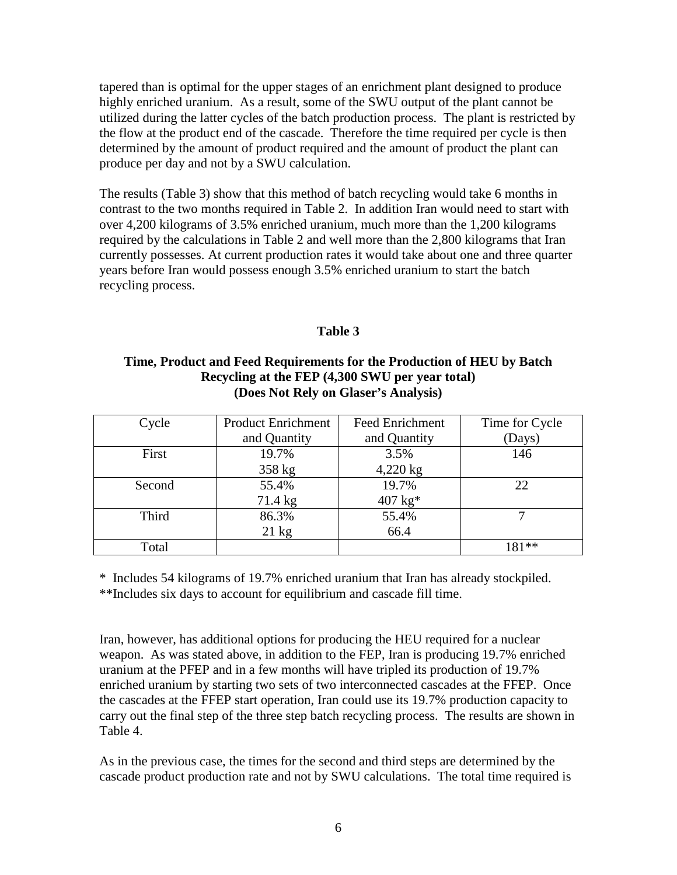tapered than is optimal for the upper stages of an enrichment plant designed to produce highly enriched uranium. As a result, some of the SWU output of the plant cannot be utilized during the latter cycles of the batch production process. The plant is restricted by the flow at the product end of the cascade. Therefore the time required per cycle is then determined by the amount of product required and the amount of product the plant can produce per day and not by a SWU calculation.

The results (Table 3) show that this method of batch recycling would take 6 months in contrast to the two months required in Table 2. In addition Iran would need to start with over 4,200 kilograms of 3.5% enriched uranium, much more than the 1,200 kilograms required by the calculations in Table 2 and well more than the 2,800 kilograms that Iran currently possesses. At current production rates it would take about one and three quarter years before Iran would possess enough 3.5% enriched uranium to start the batch recycling process.

## **Table 3**

## **Time, Product and Feed Requirements for the Production of HEU by Batch Recycling at the FEP (4,300 SWU per year total) (Does Not Rely on Glaser's Analysis)**

| Cycle  | <b>Product Enrichment</b><br>and Quantity | <b>Feed Enrichment</b><br>and Quantity | Time for Cycle<br>(Days) |
|--------|-------------------------------------------|----------------------------------------|--------------------------|
|        |                                           |                                        |                          |
| First  | 19.7%                                     | 3.5%                                   | 146                      |
|        | 358 kg                                    | $4,220$ kg                             |                          |
| Second | 55.4%                                     | 19.7%                                  | 22                       |
|        | 71.4 kg                                   | $407 \text{ kg}^*$                     |                          |
| Third  | 86.3%                                     | 55.4%                                  |                          |
|        | $21 \text{ kg}$                           | 66.4                                   |                          |
| Total  |                                           |                                        | $181**$                  |

\* Includes 54 kilograms of 19.7% enriched uranium that Iran has already stockpiled. \*\*Includes six days to account for equilibrium and cascade fill time.

Iran, however, has additional options for producing the HEU required for a nuclear weapon. As was stated above, in addition to the FEP, Iran is producing 19.7% enriched uranium at the PFEP and in a few months will have tripled its production of 19.7% enriched uranium by starting two sets of two interconnected cascades at the FFEP. Once the cascades at the FFEP start operation, Iran could use its 19.7% production capacity to carry out the final step of the three step batch recycling process. The results are shown in Table 4.

As in the previous case, the times for the second and third steps are determined by the cascade product production rate and not by SWU calculations. The total time required is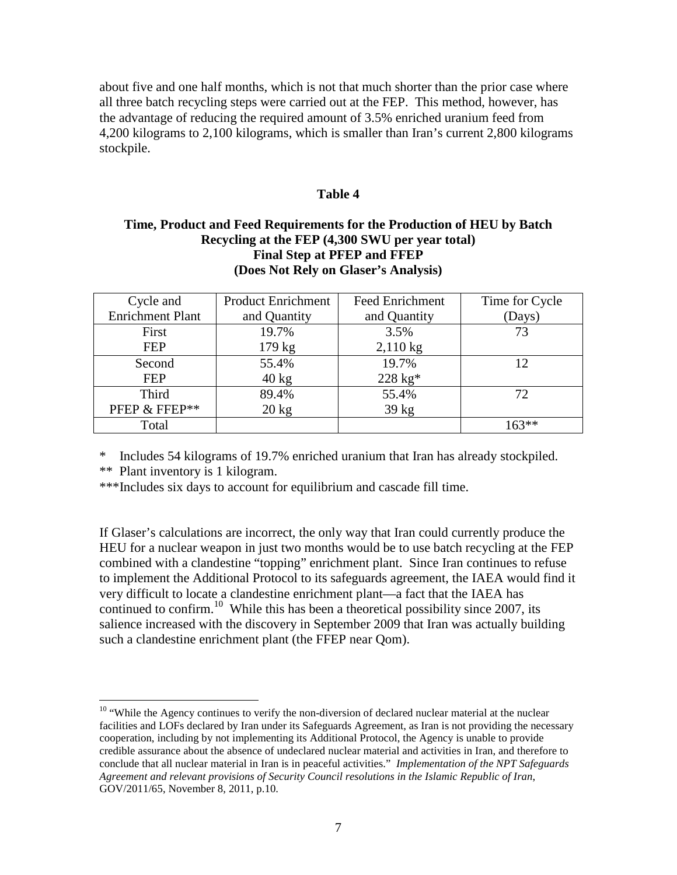about five and one half months, which is not that much shorter than the prior case where all three batch recycling steps were carried out at the FEP. This method, however, has the advantage of reducing the required amount of 3.5% enriched uranium feed from 4,200 kilograms to 2,100 kilograms, which is smaller than Iran's current 2,800 kilograms stockpile.

#### **Table 4**

## **Time, Product and Feed Requirements for the Production of HEU by Batch Recycling at the FEP (4,300 SWU per year total) Final Step at PFEP and FFEP (Does Not Rely on Glaser's Analysis)**

| Cycle and               | <b>Product Enrichment</b> | <b>Feed Enrichment</b> | Time for Cycle |
|-------------------------|---------------------------|------------------------|----------------|
| <b>Enrichment Plant</b> | and Quantity              | and Quantity           | (Days)         |
| First                   | 19.7%                     | 3.5%                   | 73             |
| <b>FEP</b>              | 179 kg                    | $2,110$ kg             |                |
| Second                  | 55.4%                     | 19.7%                  | 12             |
| <b>FEP</b>              | $40 \text{ kg}$           | $228 \text{ kg}^*$     |                |
| <b>Third</b>            | 89.4%                     | 55.4%                  | 72             |
| PFEP & FFEP**           | $20 \text{ kg}$           | $39 \text{ kg}$        |                |
| Total                   |                           |                        | $163**$        |

\* Includes 54 kilograms of 19.7% enriched uranium that Iran has already stockpiled.

\*\* Plant inventory is 1 kilogram.

<u>.</u>

\*\*\*Includes six days to account for equilibrium and cascade fill time.

If Glaser's calculations are incorrect, the only way that Iran could currently produce the HEU for a nuclear weapon in just two months would be to use batch recycling at the FEP combined with a clandestine "topping" enrichment plant. Since Iran continues to refuse to implement the Additional Protocol to its safeguards agreement, the IAEA would find it very difficult to locate a clandestine enrichment plant—a fact that the IAEA has continued to confirm.<sup>10</sup> While this has been a theoretical possibility since 2007, its salience increased with the discovery in September 2009 that Iran was actually building such a clandestine enrichment plant (the FFEP near Qom).

<sup>&</sup>lt;sup>10</sup> "While the Agency continues to verify the non-diversion of declared nuclear material at the nuclear facilities and LOFs declared by Iran under its Safeguards Agreement, as Iran is not providing the necessary cooperation, including by not implementing its Additional Protocol, the Agency is unable to provide credible assurance about the absence of undeclared nuclear material and activities in Iran, and therefore to conclude that all nuclear material in Iran is in peaceful activities." *Implementation of the NPT Safeguards Agreement and relevant provisions of Security Council resolutions in the Islamic Republic of Iran*, GOV/2011/65, November 8, 2011, p.10.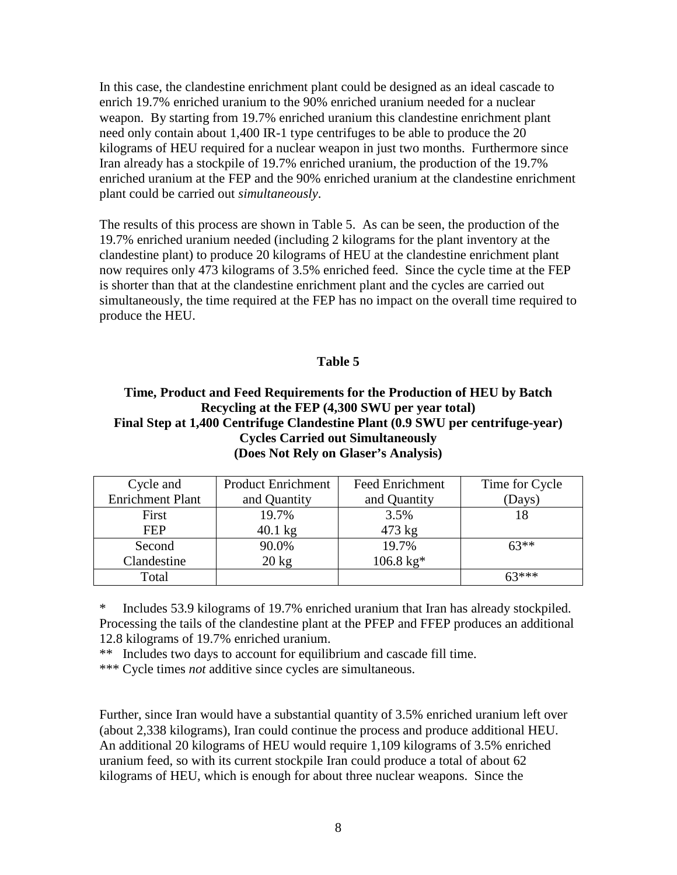In this case, the clandestine enrichment plant could be designed as an ideal cascade to enrich 19.7% enriched uranium to the 90% enriched uranium needed for a nuclear weapon. By starting from 19.7% enriched uranium this clandestine enrichment plant need only contain about 1,400 IR-1 type centrifuges to be able to produce the 20 kilograms of HEU required for a nuclear weapon in just two months. Furthermore since Iran already has a stockpile of 19.7% enriched uranium, the production of the 19.7% enriched uranium at the FEP and the 90% enriched uranium at the clandestine enrichment plant could be carried out *simultaneously*.

The results of this process are shown in Table 5. As can be seen, the production of the 19.7% enriched uranium needed (including 2 kilograms for the plant inventory at the clandestine plant) to produce 20 kilograms of HEU at the clandestine enrichment plant now requires only 473 kilograms of 3.5% enriched feed. Since the cycle time at the FEP is shorter than that at the clandestine enrichment plant and the cycles are carried out simultaneously, the time required at the FEP has no impact on the overall time required to produce the HEU.

## **Table 5**

## **Time, Product and Feed Requirements for the Production of HEU by Batch Recycling at the FEP (4,300 SWU per year total) Final Step at 1,400 Centrifuge Clandestine Plant (0.9 SWU per centrifuge-year) Cycles Carried out Simultaneously (Does Not Rely on Glaser's Analysis)**

| Cycle and               | <b>Product Enrichment</b> | <b>Feed Enrichment</b> | Time for Cycle |
|-------------------------|---------------------------|------------------------|----------------|
| <b>Enrichment Plant</b> | and Quantity              | and Quantity           | (Days)         |
| First                   | 19.7%                     | 3.5%                   |                |
| <b>FEP</b>              | $40.1 \text{ kg}$         | $473 \text{ kg}$       |                |
| Second                  | 90.0%                     | 19.7%                  | $63**$         |
| Clandestine             | $20 \text{ kg}$           | $106.8 \text{ kg}$ *   |                |
| Total                   |                           |                        | $63***$        |

\* Includes 53.9 kilograms of 19.7% enriched uranium that Iran has already stockpiled. Processing the tails of the clandestine plant at the PFEP and FFEP produces an additional 12.8 kilograms of 19.7% enriched uranium.

\*\* Includes two days to account for equilibrium and cascade fill time.

\*\*\* Cycle times *not* additive since cycles are simultaneous.

Further, since Iran would have a substantial quantity of 3.5% enriched uranium left over (about 2,338 kilograms), Iran could continue the process and produce additional HEU. An additional 20 kilograms of HEU would require 1,109 kilograms of 3.5% enriched uranium feed, so with its current stockpile Iran could produce a total of about 62 kilograms of HEU, which is enough for about three nuclear weapons. Since the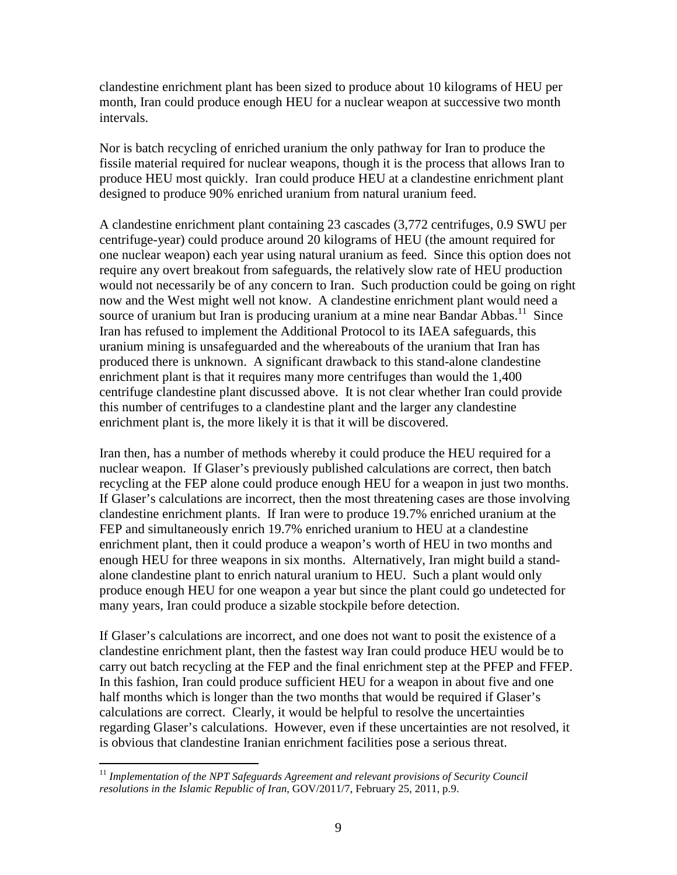clandestine enrichment plant has been sized to produce about 10 kilograms of HEU per month, Iran could produce enough HEU for a nuclear weapon at successive two month intervals.

Nor is batch recycling of enriched uranium the only pathway for Iran to produce the fissile material required for nuclear weapons, though it is the process that allows Iran to produce HEU most quickly. Iran could produce HEU at a clandestine enrichment plant designed to produce 90% enriched uranium from natural uranium feed.

A clandestine enrichment plant containing 23 cascades (3,772 centrifuges, 0.9 SWU per centrifuge-year) could produce around 20 kilograms of HEU (the amount required for one nuclear weapon) each year using natural uranium as feed. Since this option does not require any overt breakout from safeguards, the relatively slow rate of HEU production would not necessarily be of any concern to Iran. Such production could be going on right now and the West might well not know. A clandestine enrichment plant would need a source of uranium but Iran is producing uranium at a mine near Bandar Abbas.<sup>11</sup> Since Iran has refused to implement the Additional Protocol to its IAEA safeguards, this uranium mining is unsafeguarded and the whereabouts of the uranium that Iran has produced there is unknown. A significant drawback to this stand-alone clandestine enrichment plant is that it requires many more centrifuges than would the 1,400 centrifuge clandestine plant discussed above. It is not clear whether Iran could provide this number of centrifuges to a clandestine plant and the larger any clandestine enrichment plant is, the more likely it is that it will be discovered.

Iran then, has a number of methods whereby it could produce the HEU required for a nuclear weapon. If Glaser's previously published calculations are correct, then batch recycling at the FEP alone could produce enough HEU for a weapon in just two months. If Glaser's calculations are incorrect, then the most threatening cases are those involving clandestine enrichment plants. If Iran were to produce 19.7% enriched uranium at the FEP and simultaneously enrich 19.7% enriched uranium to HEU at a clandestine enrichment plant, then it could produce a weapon's worth of HEU in two months and enough HEU for three weapons in six months. Alternatively, Iran might build a standalone clandestine plant to enrich natural uranium to HEU. Such a plant would only produce enough HEU for one weapon a year but since the plant could go undetected for many years, Iran could produce a sizable stockpile before detection.

If Glaser's calculations are incorrect, and one does not want to posit the existence of a clandestine enrichment plant, then the fastest way Iran could produce HEU would be to carry out batch recycling at the FEP and the final enrichment step at the PFEP and FFEP. In this fashion, Iran could produce sufficient HEU for a weapon in about five and one half months which is longer than the two months that would be required if Glaser's calculations are correct. Clearly, it would be helpful to resolve the uncertainties regarding Glaser's calculations. However, even if these uncertainties are not resolved, it is obvious that clandestine Iranian enrichment facilities pose a serious threat.

<sup>&</sup>lt;u>.</u> <sup>11</sup> Implementation of the NPT Safeguards Agreement and relevant provisions of Security Council *resolutions in the Islamic Republic of Iran*, GOV/2011/7, February 25, 2011, p.9.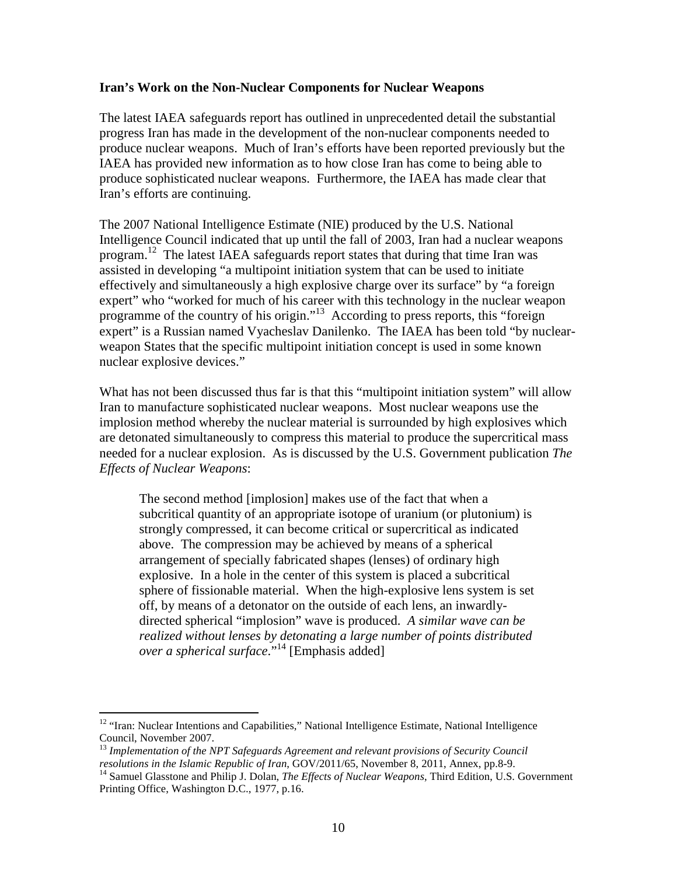### **Iran's Work on the Non-Nuclear Components for Nuclear Weapons**

The latest IAEA safeguards report has outlined in unprecedented detail the substantial progress Iran has made in the development of the non-nuclear components needed to produce nuclear weapons. Much of Iran's efforts have been reported previously but the IAEA has provided new information as to how close Iran has come to being able to produce sophisticated nuclear weapons. Furthermore, the IAEA has made clear that Iran's efforts are continuing.

The 2007 National Intelligence Estimate (NIE) produced by the U.S. National Intelligence Council indicated that up until the fall of 2003, Iran had a nuclear weapons program.<sup>12</sup> The latest IAEA safeguards report states that during that time Iran was assisted in developing "a multipoint initiation system that can be used to initiate effectively and simultaneously a high explosive charge over its surface" by "a foreign expert" who "worked for much of his career with this technology in the nuclear weapon programme of the country of his origin."<sup>13</sup> According to press reports, this "foreign" expert" is a Russian named Vyacheslav Danilenko. The IAEA has been told "by nuclearweapon States that the specific multipoint initiation concept is used in some known nuclear explosive devices."

What has not been discussed thus far is that this "multipoint initiation system" will allow Iran to manufacture sophisticated nuclear weapons. Most nuclear weapons use the implosion method whereby the nuclear material is surrounded by high explosives which are detonated simultaneously to compress this material to produce the supercritical mass needed for a nuclear explosion. As is discussed by the U.S. Government publication *The Effects of Nuclear Weapons*:

The second method [implosion] makes use of the fact that when a subcritical quantity of an appropriate isotope of uranium (or plutonium) is strongly compressed, it can become critical or supercritical as indicated above. The compression may be achieved by means of a spherical arrangement of specially fabricated shapes (lenses) of ordinary high explosive. In a hole in the center of this system is placed a subcritical sphere of fissionable material. When the high-explosive lens system is set off, by means of a detonator on the outside of each lens, an inwardlydirected spherical "implosion" wave is produced. *A similar wave can be realized without lenses by detonating a large number of points distributed over a spherical surface*.<sup>"14</sup> [Emphasis added]

<sup>-</sup><sup>12</sup> "Iran: Nuclear Intentions and Capabilities," National Intelligence Estimate, National Intelligence Council, November 2007.

<sup>&</sup>lt;sup>13</sup> Implementation of the NPT Safeguards Agreement and relevant provisions of Security Council *resolutions in the Islamic Republic of Iran*, GOV/2011/65, November 8, 2011, Annex, pp.8-9.

<sup>&</sup>lt;sup>14</sup> Samuel Glasstone and Philip J. Dolan, *The Effects of Nuclear Weapons*, Third Edition, U.S. Government Printing Office, Washington D.C., 1977, p.16.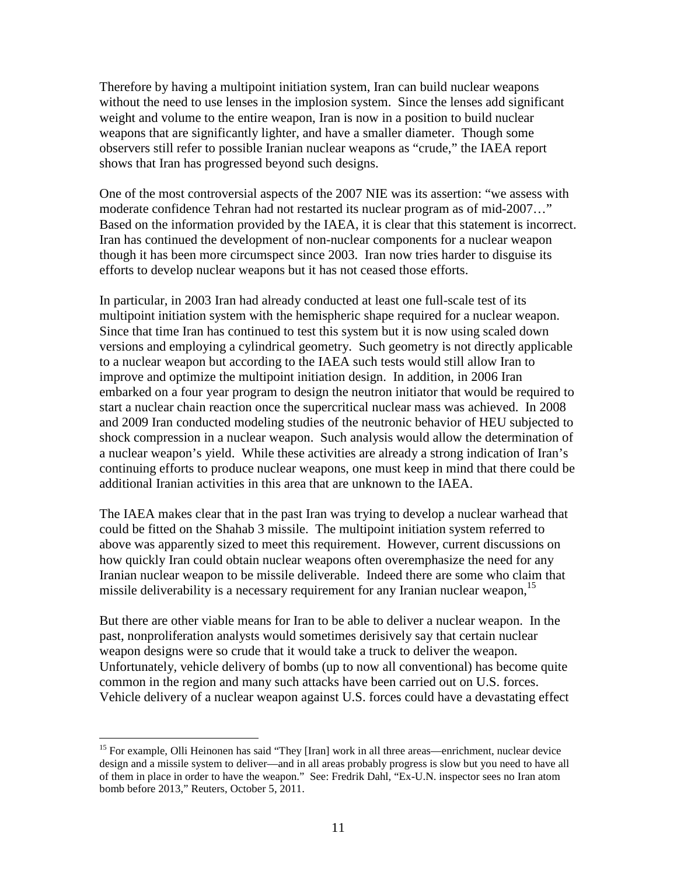Therefore by having a multipoint initiation system, Iran can build nuclear weapons without the need to use lenses in the implosion system. Since the lenses add significant weight and volume to the entire weapon, Iran is now in a position to build nuclear weapons that are significantly lighter, and have a smaller diameter. Though some observers still refer to possible Iranian nuclear weapons as "crude," the IAEA report shows that Iran has progressed beyond such designs.

One of the most controversial aspects of the 2007 NIE was its assertion: "we assess with moderate confidence Tehran had not restarted its nuclear program as of mid-2007…" Based on the information provided by the IAEA, it is clear that this statement is incorrect. Iran has continued the development of non-nuclear components for a nuclear weapon though it has been more circumspect since 2003. Iran now tries harder to disguise its efforts to develop nuclear weapons but it has not ceased those efforts.

In particular, in 2003 Iran had already conducted at least one full-scale test of its multipoint initiation system with the hemispheric shape required for a nuclear weapon. Since that time Iran has continued to test this system but it is now using scaled down versions and employing a cylindrical geometry. Such geometry is not directly applicable to a nuclear weapon but according to the IAEA such tests would still allow Iran to improve and optimize the multipoint initiation design. In addition, in 2006 Iran embarked on a four year program to design the neutron initiator that would be required to start a nuclear chain reaction once the supercritical nuclear mass was achieved. In 2008 and 2009 Iran conducted modeling studies of the neutronic behavior of HEU subjected to shock compression in a nuclear weapon. Such analysis would allow the determination of a nuclear weapon's yield. While these activities are already a strong indication of Iran's continuing efforts to produce nuclear weapons, one must keep in mind that there could be additional Iranian activities in this area that are unknown to the IAEA.

The IAEA makes clear that in the past Iran was trying to develop a nuclear warhead that could be fitted on the Shahab 3 missile. The multipoint initiation system referred to above was apparently sized to meet this requirement. However, current discussions on how quickly Iran could obtain nuclear weapons often overemphasize the need for any Iranian nuclear weapon to be missile deliverable. Indeed there are some who claim that missile deliverability is a necessary requirement for any Iranian nuclear weapon,<sup>15</sup>

But there are other viable means for Iran to be able to deliver a nuclear weapon. In the past, nonproliferation analysts would sometimes derisively say that certain nuclear weapon designs were so crude that it would take a truck to deliver the weapon. Unfortunately, vehicle delivery of bombs (up to now all conventional) has become quite common in the region and many such attacks have been carried out on U.S. forces. Vehicle delivery of a nuclear weapon against U.S. forces could have a devastating effect

<sup>&</sup>lt;sup>15</sup> For example, Olli Heinonen has said "They [Iran] work in all three areas—enrichment, nuclear device design and a missile system to deliver—and in all areas probably progress is slow but you need to have all of them in place in order to have the weapon." See: Fredrik Dahl, "Ex-U.N. inspector sees no Iran atom bomb before 2013," Reuters, October 5, 2011.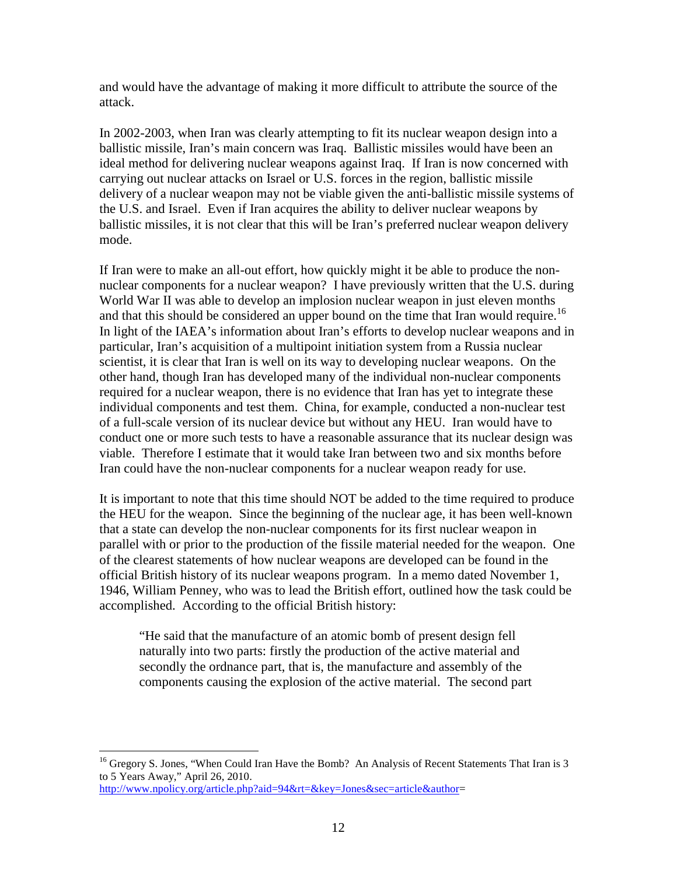and would have the advantage of making it more difficult to attribute the source of the attack.

In 2002-2003, when Iran was clearly attempting to fit its nuclear weapon design into a ballistic missile, Iran's main concern was Iraq. Ballistic missiles would have been an ideal method for delivering nuclear weapons against Iraq. If Iran is now concerned with carrying out nuclear attacks on Israel or U.S. forces in the region, ballistic missile delivery of a nuclear weapon may not be viable given the anti-ballistic missile systems of the U.S. and Israel. Even if Iran acquires the ability to deliver nuclear weapons by ballistic missiles, it is not clear that this will be Iran's preferred nuclear weapon delivery mode.

If Iran were to make an all-out effort, how quickly might it be able to produce the nonnuclear components for a nuclear weapon? I have previously written that the U.S. during World War II was able to develop an implosion nuclear weapon in just eleven months and that this should be considered an upper bound on the time that Iran would require.<sup>16</sup> In light of the IAEA's information about Iran's efforts to develop nuclear weapons and in particular, Iran's acquisition of a multipoint initiation system from a Russia nuclear scientist, it is clear that Iran is well on its way to developing nuclear weapons. On the other hand, though Iran has developed many of the individual non-nuclear components required for a nuclear weapon, there is no evidence that Iran has yet to integrate these individual components and test them. China, for example, conducted a non-nuclear test of a full-scale version of its nuclear device but without any HEU. Iran would have to conduct one or more such tests to have a reasonable assurance that its nuclear design was viable. Therefore I estimate that it would take Iran between two and six months before Iran could have the non-nuclear components for a nuclear weapon ready for use.

It is important to note that this time should NOT be added to the time required to produce the HEU for the weapon. Since the beginning of the nuclear age, it has been well-known that a state can develop the non-nuclear components for its first nuclear weapon in parallel with or prior to the production of the fissile material needed for the weapon. One of the clearest statements of how nuclear weapons are developed can be found in the official British history of its nuclear weapons program. In a memo dated November 1, 1946, William Penney, who was to lead the British effort, outlined how the task could be accomplished. According to the official British history:

"He said that the manufacture of an atomic bomb of present design fell naturally into two parts: firstly the production of the active material and secondly the ordnance part, that is, the manufacture and assembly of the components causing the explosion of the active material. The second part

<sup>&</sup>lt;sup>16</sup> Gregory S. Jones, "When Could Iran Have the Bomb? An Analysis of Recent Statements That Iran is 3 to 5 Years Away," April 26, 2010.

http://www.npolicy.org/article.php?aid=94&rt=&key=Jones&sec=article&author=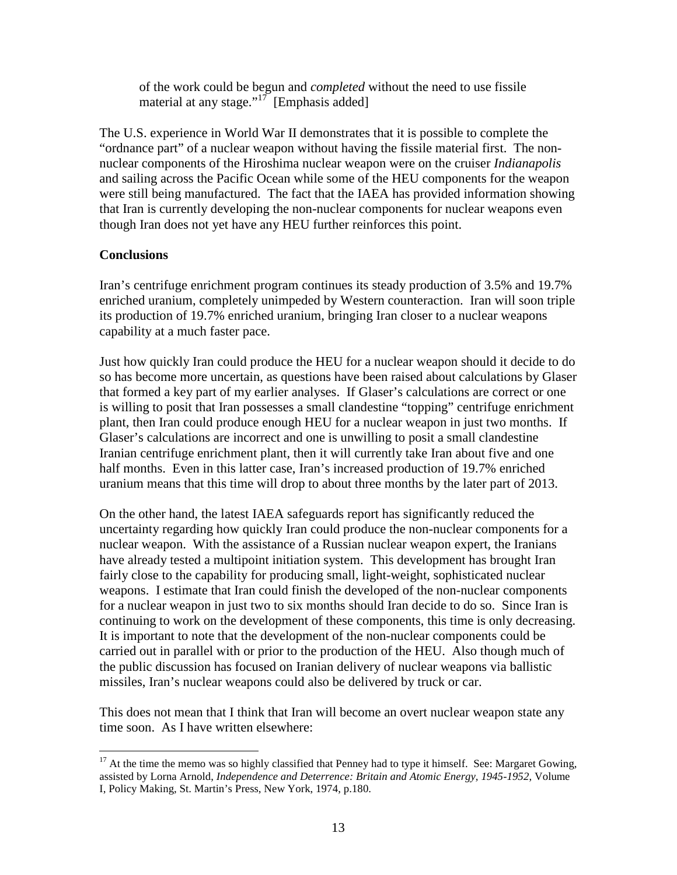of the work could be begun and *completed* without the need to use fissile material at any stage."<sup>17</sup> [Emphasis added]

The U.S. experience in World War II demonstrates that it is possible to complete the "ordnance part" of a nuclear weapon without having the fissile material first. The nonnuclear components of the Hiroshima nuclear weapon were on the cruiser *Indianapolis* and sailing across the Pacific Ocean while some of the HEU components for the weapon were still being manufactured. The fact that the IAEA has provided information showing that Iran is currently developing the non-nuclear components for nuclear weapons even though Iran does not yet have any HEU further reinforces this point.

# **Conclusions**

Iran's centrifuge enrichment program continues its steady production of 3.5% and 19.7% enriched uranium, completely unimpeded by Western counteraction. Iran will soon triple its production of 19.7% enriched uranium, bringing Iran closer to a nuclear weapons capability at a much faster pace.

Just how quickly Iran could produce the HEU for a nuclear weapon should it decide to do so has become more uncertain, as questions have been raised about calculations by Glaser that formed a key part of my earlier analyses. If Glaser's calculations are correct or one is willing to posit that Iran possesses a small clandestine "topping" centrifuge enrichment plant, then Iran could produce enough HEU for a nuclear weapon in just two months. If Glaser's calculations are incorrect and one is unwilling to posit a small clandestine Iranian centrifuge enrichment plant, then it will currently take Iran about five and one half months. Even in this latter case, Iran's increased production of 19.7% enriched uranium means that this time will drop to about three months by the later part of 2013.

On the other hand, the latest IAEA safeguards report has significantly reduced the uncertainty regarding how quickly Iran could produce the non-nuclear components for a nuclear weapon. With the assistance of a Russian nuclear weapon expert, the Iranians have already tested a multipoint initiation system. This development has brought Iran fairly close to the capability for producing small, light-weight, sophisticated nuclear weapons. I estimate that Iran could finish the developed of the non-nuclear components for a nuclear weapon in just two to six months should Iran decide to do so. Since Iran is continuing to work on the development of these components, this time is only decreasing. It is important to note that the development of the non-nuclear components could be carried out in parallel with or prior to the production of the HEU. Also though much of the public discussion has focused on Iranian delivery of nuclear weapons via ballistic missiles, Iran's nuclear weapons could also be delivered by truck or car.

This does not mean that I think that Iran will become an overt nuclear weapon state any time soon. As I have written elsewhere:

 $\overline{a}$  $17$  At the time the memo was so highly classified that Penney had to type it himself. See: Margaret Gowing, assisted by Lorna Arnold, *Independence and Deterrence: Britain and Atomic Energy, 1945-1952*, Volume I, Policy Making, St. Martin's Press, New York, 1974, p.180.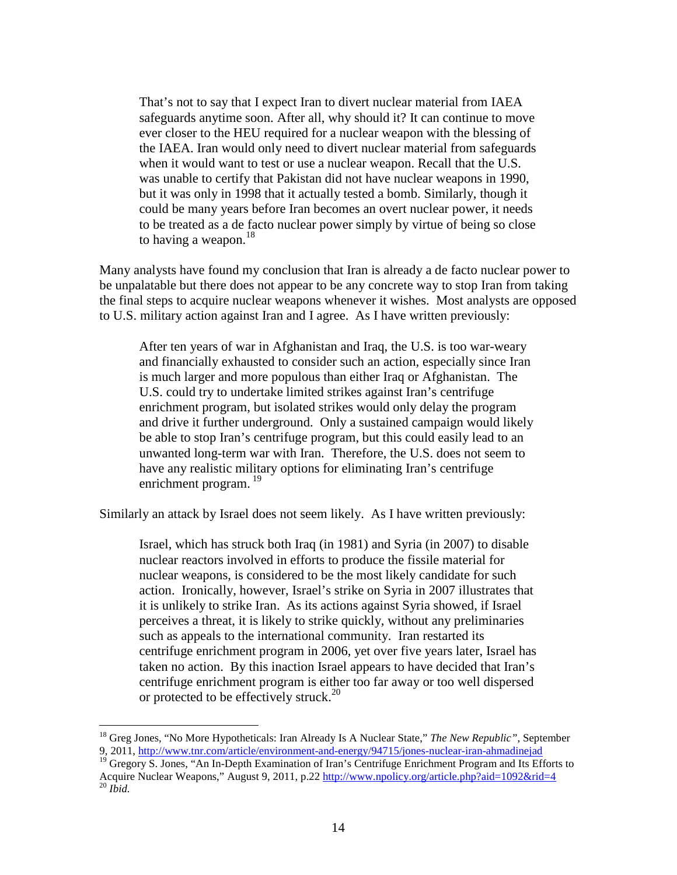That's not to say that I expect Iran to divert nuclear material from IAEA safeguards anytime soon. After all, why should it? It can continue to move ever closer to the HEU required for a nuclear weapon with the blessing of the IAEA. Iran would only need to divert nuclear material from safeguards when it would want to test or use a nuclear weapon. Recall that the U.S. was unable to certify that Pakistan did not have nuclear weapons in 1990, but it was only in 1998 that it actually tested a bomb. Similarly, though it could be many years before Iran becomes an overt nuclear power, it needs to be treated as a de facto nuclear power simply by virtue of being so close to having a weapon.<sup>18</sup>

Many analysts have found my conclusion that Iran is already a de facto nuclear power to be unpalatable but there does not appear to be any concrete way to stop Iran from taking the final steps to acquire nuclear weapons whenever it wishes. Most analysts are opposed to U.S. military action against Iran and I agree. As I have written previously:

After ten years of war in Afghanistan and Iraq, the U.S. is too war-weary and financially exhausted to consider such an action, especially since Iran is much larger and more populous than either Iraq or Afghanistan. The U.S. could try to undertake limited strikes against Iran's centrifuge enrichment program, but isolated strikes would only delay the program and drive it further underground. Only a sustained campaign would likely be able to stop Iran's centrifuge program, but this could easily lead to an unwanted long-term war with Iran. Therefore, the U.S. does not seem to have any realistic military options for eliminating Iran's centrifuge enrichment program.<sup>19</sup>

Similarly an attack by Israel does not seem likely. As I have written previously:

Israel, which has struck both Iraq (in 1981) and Syria (in 2007) to disable nuclear reactors involved in efforts to produce the fissile material for nuclear weapons, is considered to be the most likely candidate for such action. Ironically, however, Israel's strike on Syria in 2007 illustrates that it is unlikely to strike Iran. As its actions against Syria showed, if Israel perceives a threat, it is likely to strike quickly, without any preliminaries such as appeals to the international community. Iran restarted its centrifuge enrichment program in 2006, yet over five years later, Israel has taken no action. By this inaction Israel appears to have decided that Iran's centrifuge enrichment program is either too far away or too well dispersed or protected to be effectively struck.<sup>20</sup>

 $\overline{a}$ 

<sup>19</sup> Gregory S. Jones, "An In-Depth Examination of Iran's Centrifuge Enrichment Program and Its Efforts to Acquire Nuclear Weapons," August 9, 2011, p.22 http://www.npolicy.org/article.php?aid=1092&rid=4 <sup>20</sup> *Ibid.*

<sup>18</sup> Greg Jones, "No More Hypotheticals: Iran Already Is A Nuclear State," *The New Republic"*, September 9, 2011, http://www.tnr.com/article/environment-and-energy/94715/jones-nuclear-iran-ahmadinejad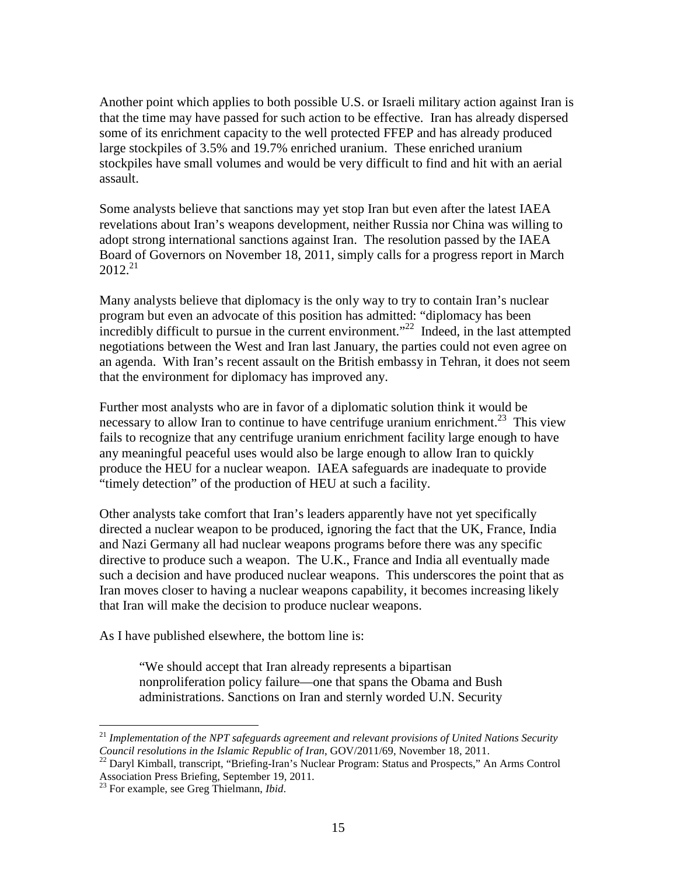Another point which applies to both possible U.S. or Israeli military action against Iran is that the time may have passed for such action to be effective. Iran has already dispersed some of its enrichment capacity to the well protected FFEP and has already produced large stockpiles of 3.5% and 19.7% enriched uranium. These enriched uranium stockpiles have small volumes and would be very difficult to find and hit with an aerial assault.

Some analysts believe that sanctions may yet stop Iran but even after the latest IAEA revelations about Iran's weapons development, neither Russia nor China was willing to adopt strong international sanctions against Iran. The resolution passed by the IAEA Board of Governors on November 18, 2011, simply calls for a progress report in March  $2012.<sup>21</sup>$ 

Many analysts believe that diplomacy is the only way to try to contain Iran's nuclear program but even an advocate of this position has admitted: "diplomacy has been incredibly difficult to pursue in the current environment."<sup>22</sup> Indeed, in the last attempted negotiations between the West and Iran last January, the parties could not even agree on an agenda. With Iran's recent assault on the British embassy in Tehran, it does not seem that the environment for diplomacy has improved any.

Further most analysts who are in favor of a diplomatic solution think it would be necessary to allow Iran to continue to have centrifuge uranium enrichment.<sup>23</sup> This view fails to recognize that any centrifuge uranium enrichment facility large enough to have any meaningful peaceful uses would also be large enough to allow Iran to quickly produce the HEU for a nuclear weapon. IAEA safeguards are inadequate to provide "timely detection" of the production of HEU at such a facility.

Other analysts take comfort that Iran's leaders apparently have not yet specifically directed a nuclear weapon to be produced, ignoring the fact that the UK, France, India and Nazi Germany all had nuclear weapons programs before there was any specific directive to produce such a weapon. The U.K., France and India all eventually made such a decision and have produced nuclear weapons. This underscores the point that as Iran moves closer to having a nuclear weapons capability, it becomes increasing likely that Iran will make the decision to produce nuclear weapons.

As I have published elsewhere, the bottom line is:

"We should accept that Iran already represents a bipartisan nonproliferation policy failure—one that spans the Obama and Bush administrations. Sanctions on Iran and sternly worded U.N. Security

<sup>&</sup>lt;sup>21</sup> Implementation of the NPT safeguards agreement and relevant provisions of United Nations Security *Council resolutions in the Islamic Republic of Iran*, GOV/2011/69, November 18, 2011.

<sup>&</sup>lt;sup>22</sup> Daryl Kimball, transcript, "Briefing-Iran's Nuclear Program: Status and Prospects," An Arms Control Association Press Briefing, September 19, 2011.

<sup>23</sup> For example, see Greg Thielmann, *Ibid*.